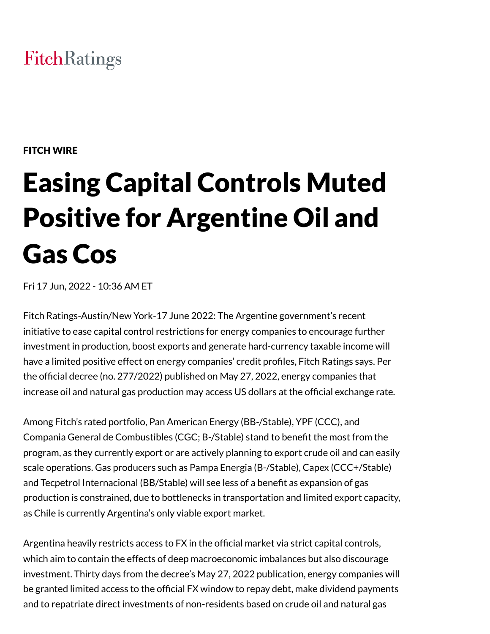## **FitchRatings**

## FITCH WIRE

## Easing Capital Controls Muted Positive for Argentine Oil and Gas Cos

Fri 17 Jun, 2022 - 10:36 AM ET

Fitch Ratings-Austin/New York-17 June 2022: The Argentine government's recent initiative to ease capital control restrictions for energy companies to encourage further investment in production, boost exports and generate hard-currency taxable income will have a limited positive effect on energy companies' credit profiles, Fitch Ratings says. Per the official decree (no. 277/2022) published on May 27, 2022, energy companies that increase oil and natural gas production may access US dollars at the official exchange rate.

Among Fitch's rated portfolio, Pan American Energy (BB-/Stable), YPF (CCC), and Compania General de Combustibles (CGC; B-/Stable) stand to benefit the most from the program, as they currently export or are actively planning to export crude oil and can easily scale operations. Gas producers such as Pampa Energia (B-/Stable), Capex (CCC+/Stable) and Tecpetrol Internacional (BB/Stable) will see less of a benefit as expansion of gas production is constrained, due to bottlenecks in transportation and limited export capacity, as Chile is currently Argentina's only viable export market.

Argentina heavily restricts access to FX in the official market via strict capital controls, which aim to contain the effects of deep macroeconomic imbalances but also discourage investment. Thirty days from the decree's May 27, 2022 publication, energy companies will be granted limited access to the official FX window to repay debt, make dividend payments and to repatriate direct investments of non-residents based on crude oil and natural gas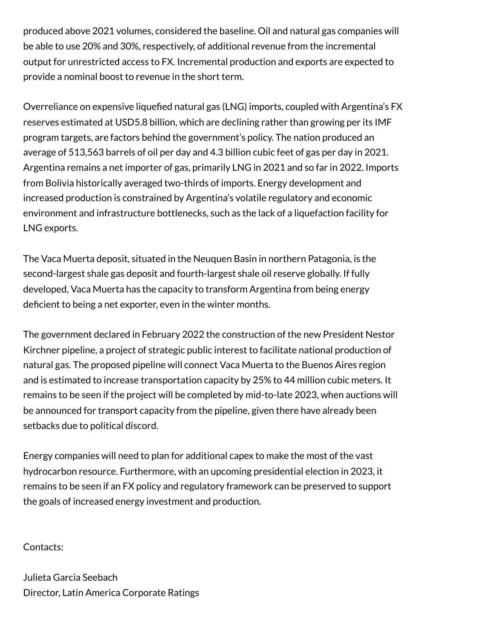produced above 2021 volumes, considered the baseline. Oil and natural gas companies will be able to use 20% and 30%, respectively, of additional revenue from the incremental output for unrestricted access to FX. Incremental production and exports are expected to provide a nominal boost to revenue in the short term.

Overreliance on expensive liquefied natural gas (LNG) imports, coupled with Argentina's FX reserves estimated at USD5.8 billion, which are declining rather than growing per its IMF program targets, are factors behind the government's policy. The nation produced an average of 513,563 barrels of oil per day and 4.3 billion cubic feet of gas per day in 2021. Argentina remains a net importer of gas, primarily LNG in 2021 and so far in 2022. Imports from Bolivia historically averaged two-thirds of imports. Energy development and increased production is constrained by Argentina's volatile regulatory and economic environment and infrastructure bottlenecks, such as the lack of a liquefaction facility for LNG exports.

The Vaca Muerta deposit, situated in the Neuquen Basin in northern Patagonia, is the second-largest shale gas deposit and fourth-largest shale oil reserve globally. If fully developed, Vaca Muerta has the capacity to transform Argentina from being energy deficient to being a net exporter, even in the winter months.

The government declared in February 2022 the construction of the new President Nestor Kirchner pipeline, a project of strategic public interest to facilitate national production of natural gas. The proposed pipeline will connect Vaca Muerta to the Buenos Aires region and is estimated to increase transportation capacity by 25% to 44 million cubic meters. It remains to be seen if the project will be completed by mid-to-late 2023, when auctions will be announced for transport capacity from the pipeline, given there have already been setbacks due to political discord.

Energy companies will need to plan for additional capex to make the most of the vast hydrocarbon resource. Furthermore, with an upcoming presidential election in 2023, it remains to be seen if an FX policy and regulatory framework can be preserved to support the goals of increased energy investment and production.

Contacts:

Julieta Garcia Seebach Director, Latin America Corporate Ratings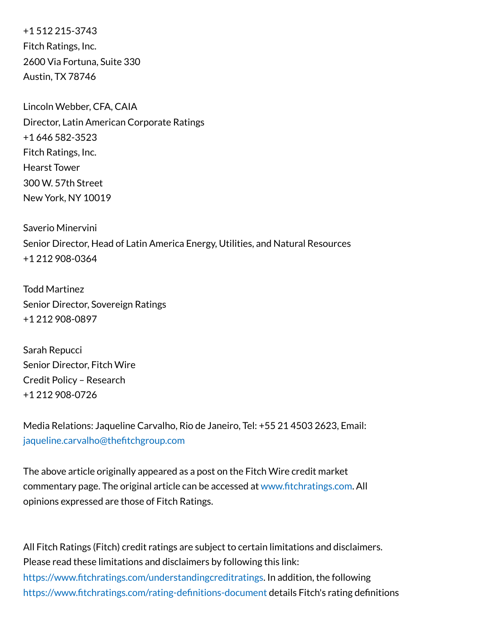+1 512 215-3743 Fitch Ratings, Inc. 2600 Via Fortuna, Suite 330 Austin, TX 78746

Lincoln Webber, CFA, CAIA Director, Latin American Corporate Ratings +1 646 582-3523 Fitch Ratings, Inc. Hearst Tower 300 W. 57th Street New York, NY 10019

Saverio Minervini Senior Director, Head of Latin America Energy, Utilities, and Natural Resources +1 212 908-0364

Todd Martinez Senior Director, Sovereign Ratings +1 212 908-0897

Sarah Repucci Senior Director, Fitch Wire Credit Policy – Research +1 212 908-0726

Media Relations: Jaqueline Carvalho, Rio de Janeiro, Tel: +55 21 4503 2623, Email: [jaqueline.carvalho@thefitchgroup.com](mailto:jaqueline.carvalho@thefitchgroup.com)

The above article originally appeared as a post on the Fitch Wire credit market commentary page. The original article can be accessed at [www.fitchratings.com](http://www.fitchratings.com/). All opinions expressed are those of Fitch Ratings.

All Fitch Ratings (Fitch) credit ratings are subject to certain limitations and disclaimers. Please read these limitations and disclaimers by following this link: <https://www.fitchratings.com/understandingcreditratings>. In addition, the following <https://www.fitchratings.com/rating-definitions-document> details Fitch's rating definitions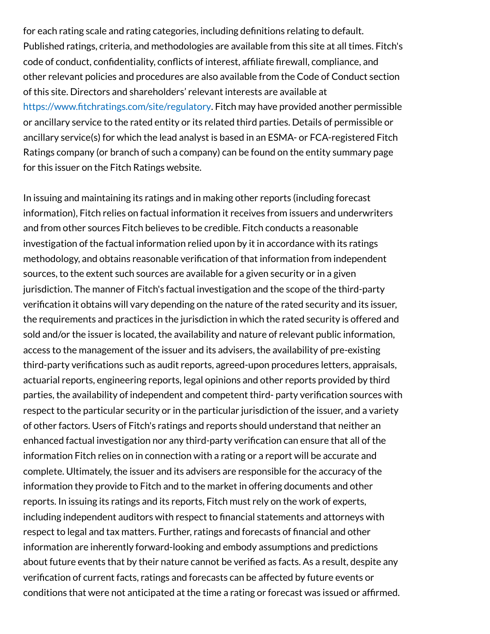for each rating scale and rating categories, including definitions relating to default. Published ratings, criteria, and methodologies are available from this site at all times. Fitch's code of conduct, confidentiality, conflicts of interest, affiliate firewall, compliance, and other relevant policies and procedures are also available from the Code of Conduct section of this site. Directors and shareholders' relevant interests are available at [https://www.fitchratings.com/site/regulatory.](https://www.fitchratings.com/site/regulatory) Fitch may have provided another permissible or ancillary service to the rated entity or its related third parties. Details of permissible or ancillary service(s) for which the lead analyst is based in an ESMA- or FCA-registered Fitch Ratings company (or branch of such a company) can be found on the entity summary page for this issuer on the Fitch Ratings website.

In issuing and maintaining its ratings and in making other reports (including forecast information), Fitch relies on factual information it receives from issuers and underwriters and from other sources Fitch believes to be credible. Fitch conducts a reasonable investigation of the factual information relied upon by it in accordance with its ratings methodology, and obtains reasonable verification of that information from independent sources, to the extent such sources are available for a given security or in a given jurisdiction. The manner of Fitch's factual investigation and the scope of the third-party verification it obtains will vary depending on the nature of the rated security and its issuer, the requirements and practices in the jurisdiction in which the rated security is offered and sold and/or the issuer is located, the availability and nature of relevant public information, access to the management of the issuer and its advisers, the availability of pre-existing third-party verifications such as audit reports, agreed-upon procedures letters, appraisals, actuarial reports, engineering reports, legal opinions and other reports provided by third parties, the availability of independent and competent third- party verification sources with respect to the particular security or in the particular jurisdiction of the issuer, and a variety of other factors. Users of Fitch's ratings and reports should understand that neither an enhanced factual investigation nor any third-party verification can ensure that all of the information Fitch relies on in connection with a rating or a report will be accurate and complete. Ultimately, the issuer and its advisers are responsible for the accuracy of the information they provide to Fitch and to the market in offering documents and other reports. In issuing its ratings and its reports, Fitch must rely on the work of experts, including independent auditors with respect to financial statements and attorneys with respect to legal and tax matters. Further, ratings and forecasts of financial and other information are inherently forward-looking and embody assumptions and predictions about future events that by their nature cannot be verified as facts. As a result, despite any verification of current facts, ratings and forecasts can be affected by future events or conditions that were not anticipated at the time a rating or forecast was issued or affirmed.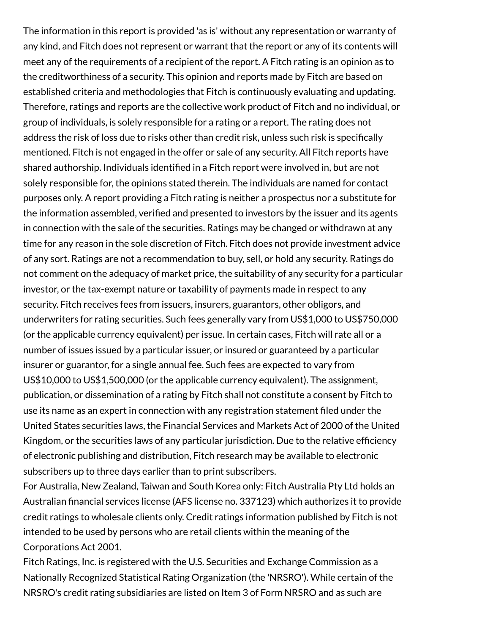The information in this report is provided 'as is' without any representation or warranty of any kind, and Fitch does not represent or warrant that the report or any of its contents will meet any of the requirements of a recipient of the report. A Fitch rating is an opinion as to the creditworthiness of a security. This opinion and reports made by Fitch are based on established criteria and methodologies that Fitch is continuously evaluating and updating. Therefore, ratings and reports are the collective work product of Fitch and no individual, or group of individuals, is solely responsible for a rating or a report. The rating does not address the risk of loss due to risks other than credit risk, unless such risk is specifically mentioned. Fitch is not engaged in the offer or sale of any security. All Fitch reports have shared authorship. Individuals identified in a Fitch report were involved in, but are not solely responsible for, the opinions stated therein. The individuals are named for contact purposes only. A report providing a Fitch rating is neither a prospectus nor a substitute for the information assembled, verified and presented to investors by the issuer and its agents in connection with the sale of the securities. Ratings may be changed or withdrawn at any time for any reason in the sole discretion of Fitch. Fitch does not provide investment advice of any sort. Ratings are not a recommendation to buy, sell, or hold any security. Ratings do not comment on the adequacy of market price, the suitability of any security for a particular investor, or the tax-exempt nature or taxability of payments made in respect to any security. Fitch receives fees from issuers, insurers, guarantors, other obligors, and underwriters for rating securities. Such fees generally vary from US\$1,000 to US\$750,000 (or the applicable currency equivalent) per issue. In certain cases, Fitch will rate all or a number of issues issued by a particular issuer, or insured or guaranteed by a particular insurer or guarantor, for a single annual fee. Such fees are expected to vary from US\$10,000 to US\$1,500,000 (or the applicable currency equivalent). The assignment, publication, or dissemination of a rating by Fitch shall not constitute a consent by Fitch to use its name as an expert in connection with any registration statement filed under the United States securities laws, the Financial Services and Markets Act of 2000 of the United Kingdom, or the securities laws of any particular jurisdiction. Due to the relative efficiency of electronic publishing and distribution, Fitch research may be available to electronic subscribers up to three days earlier than to print subscribers.

For Australia, New Zealand, Taiwan and South Korea only: Fitch Australia Pty Ltd holds an Australian financial services license (AFS license no. 337123) which authorizes it to provide credit ratings to wholesale clients only. Credit ratings information published by Fitch is not intended to be used by persons who are retail clients within the meaning of the Corporations Act 2001.

Fitch Ratings, Inc. is registered with the U.S. Securities and Exchange Commission as a Nationally Recognized Statistical Rating Organization (the 'NRSRO'). While certain of the NRSRO's credit rating subsidiaries are listed on Item 3 of Form NRSRO and as such are